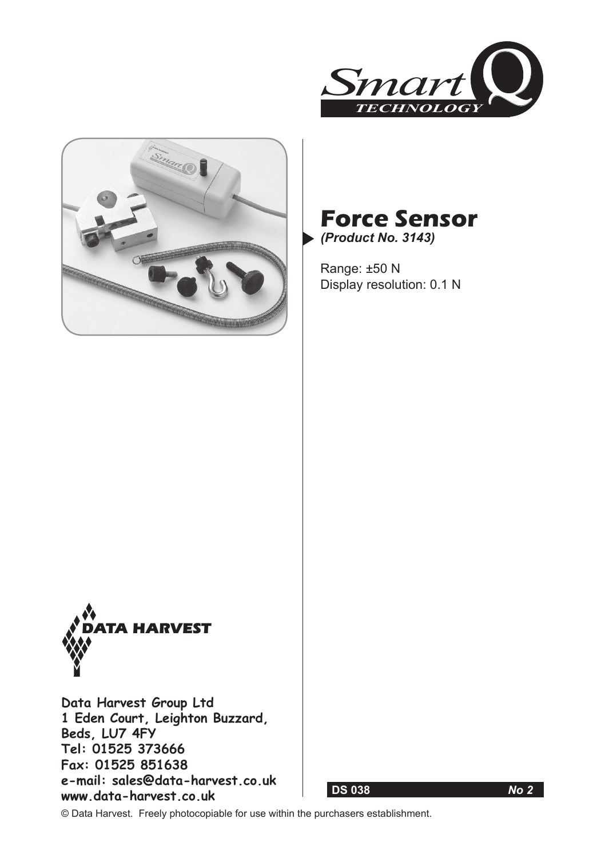





Range: ±50 N Display resolution: 0.1 N



**Data Harvest Group Ltd 1 Eden Court, Leighton Buzzard, Beds, LU7 4FY Tel: 01525 373666 Fax: 01525 851638 e-mail: sales@data-harvest.co.uk www.data-harvest.co.uk**

 **DS 038** *No 2*

© Data Harvest. Freely photocopiable for use within the purchasers establishment.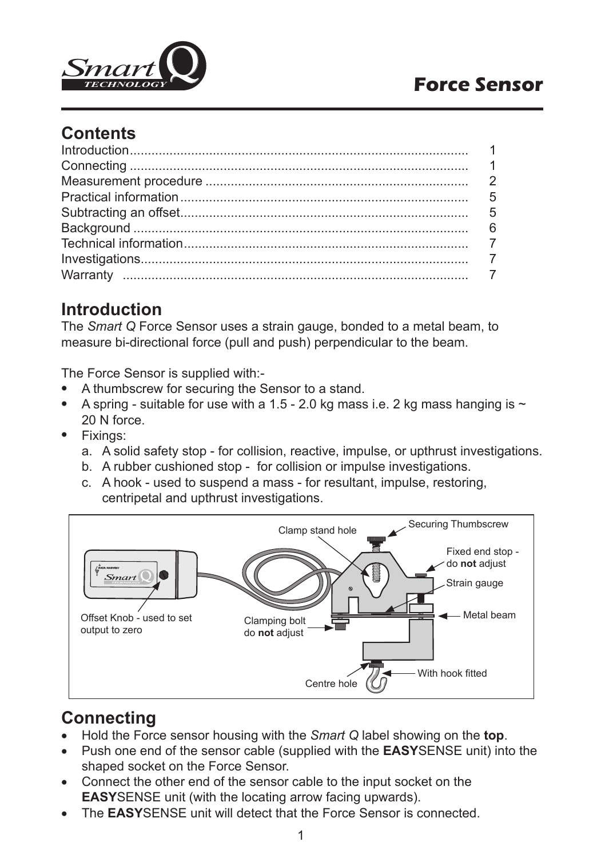

## **Contents**

## **Introduction**

The *Smart Q* Force Sensor uses a strain gauge, bonded to a metal beam, to measure bi-directional force (pull and push) perpendicular to the beam.

The Force Sensor is supplied with:-

- A thumbscrew for securing the Sensor to a stand.
- A spring suitable for use with a 1.5 2.0 kg mass i.e. 2 kg mass hanging is  $\sim$ 20 N force.
- Fixings:
	- a. A solid safety stop for collision, reactive, impulse, or upthrust investigations.
	- b. A rubber cushioned stop for collision or impulse investigations.
	- c. A hook used to suspend a mass for resultant, impulse, restoring, centripetal and upthrust investigations.



# **Connecting**

- Hold the Force sensor housing with the *Smart Q* label showing on the **top**.
- Push one end of the sensor cable (supplied with the **EASY**SENSE unit) into the shaped socket on the Force Sensor.
- Connect the other end of the sensor cable to the input socket on the **EASY**SENSE unit (with the locating arrow facing upwards).
- The **EASY**SENSE unit will detect that the Force Sensor is connected.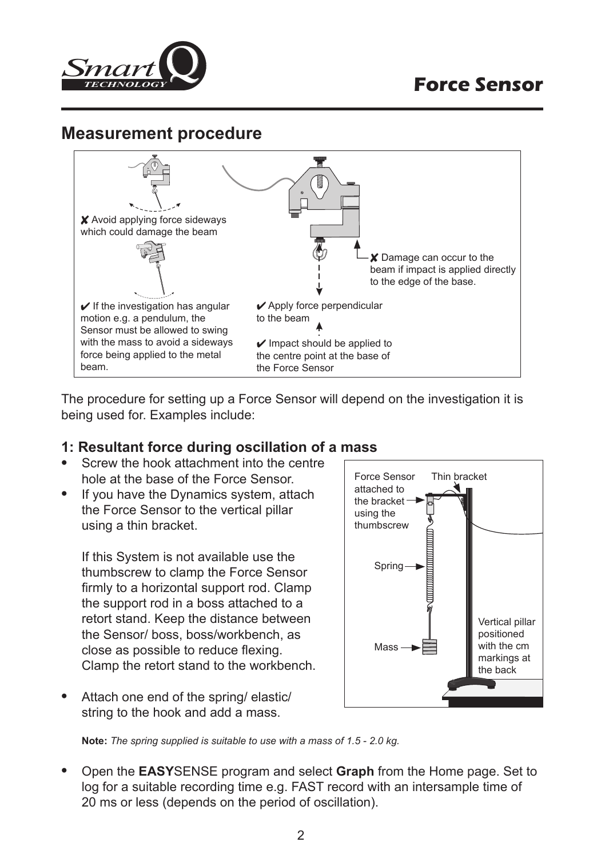

## **Measurement procedure**



The procedure for setting up a Force Sensor will depend on the investigation it is being used for. Examples include:

#### **1: Resultant force during oscillation of a mass**

- Screw the hook attachment into the centre hole at the base of the Force Sensor.
- If you have the Dynamics system, attach the Force Sensor to the vertical pillar using a thin bracket.

If this System is not available use the thumbscrew to clamp the Force Sensor firmly to a horizontal support rod. Clamp the support rod in a boss attached to a retort stand. Keep the distance between the Sensor/ boss, boss/workbench, as close as possible to reduce flexing. Clamp the retort stand to the workbench.

• Attach one end of the spring/ elastic/ string to the hook and add a mass.



**Note:** *The spring supplied is suitable to use with a mass of 1.5 - 2.0 kg.*

• Open the **EASY**SENSE program and select **Graph** from the Home page. Set to log for a suitable recording time e.g. FAST record with an intersample time of 20 ms or less (depends on the period of oscillation).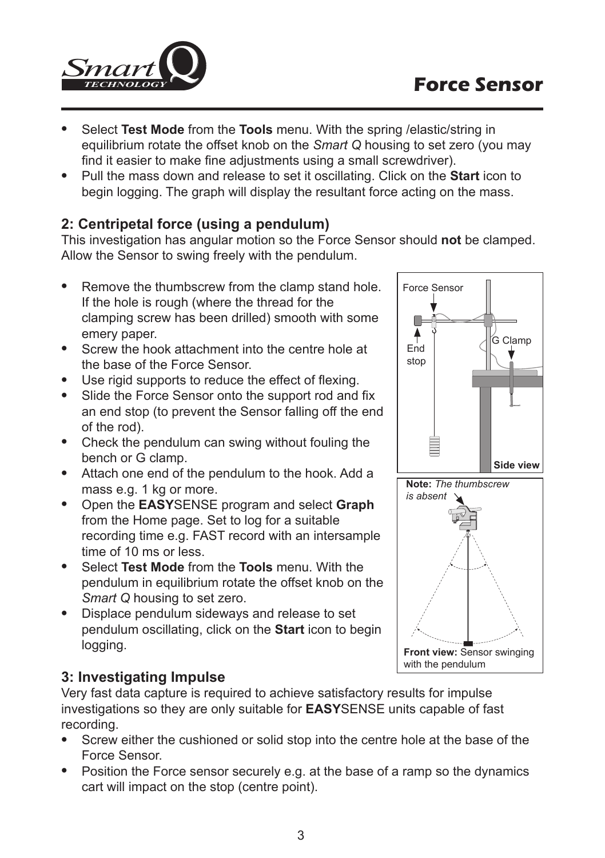

- Select **Test Mode** from the **Tools** menu. With the spring /elastic/string in equilibrium rotate the offset knob on the *Smart Q* housing to set zero (you may find it easier to make fine adjustments using a small screwdriver).
- Pull the mass down and release to set it oscillating. Click on the **Start** icon to begin logging. The graph will display the resultant force acting on the mass.

### **2: Centripetal force (using a pendulum)**

This investigation has angular motion so the Force Sensor should **not** be clamped. Allow the Sensor to swing freely with the pendulum.

- Remove the thumbscrew from the clamp stand hole. If the hole is rough (where the thread for the clamping screw has been drilled) smooth with some emery paper.
- Screw the hook attachment into the centre hole at the base of the Force Sensor.
- Use rigid supports to reduce the effect of flexing.
- Slide the Force Sensor onto the support rod and fix an end stop (to prevent the Sensor falling off the end of the rod).
- Check the pendulum can swing without fouling the bench or G clamp.
- Attach one end of the pendulum to the hook. Add a mass e.g. 1 kg or more.
- Open the **EASY**SENSE program and select **Graph** from the Home page. Set to log for a suitable recording time e.g. FAST record with an intersample time of 10 ms or less.
- Select **Test Mode** from the **Tools** menu. With the pendulum in equilibrium rotate the offset knob on the *Smart Q* housing to set zero.
- Displace pendulum sideways and release to set pendulum oscillating, click on the **Start** icon to begin logging.

### **3: Investigating Impulse**

Very fast data capture is required to achieve satisfactory results for impulse investigations so they are only suitable for **EASY**SENSE units capable of fast recording.

- Screw either the cushioned or solid stop into the centre hole at the base of the Force Sensor.
- Position the Force sensor securely e.g. at the base of a ramp so the dynamics cart will impact on the stop (centre point).

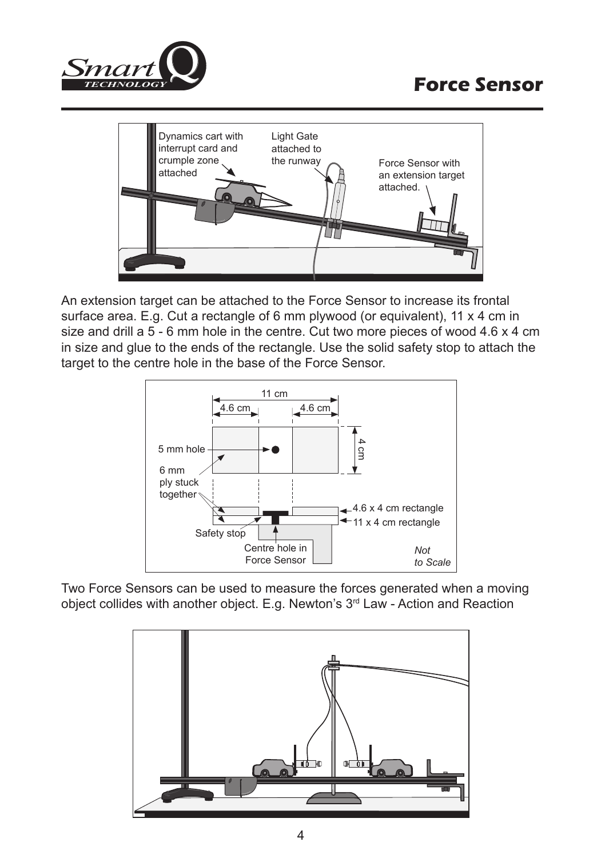



An extension target can be attached to the Force Sensor to increase its frontal surface area. E.g. Cut a rectangle of 6 mm plywood (or equivalent), 11 x 4 cm in size and drill a 5 - 6 mm hole in the centre. Cut two more pieces of wood 4.6 x 4 cm in size and glue to the ends of the rectangle. Use the solid safety stop to attach the target to the centre hole in the base of the Force Sensor.



Two Force Sensors can be used to measure the forces generated when a moving object collides with another object. E.g. Newton's 3<sup>rd</sup> Law - Action and Reaction

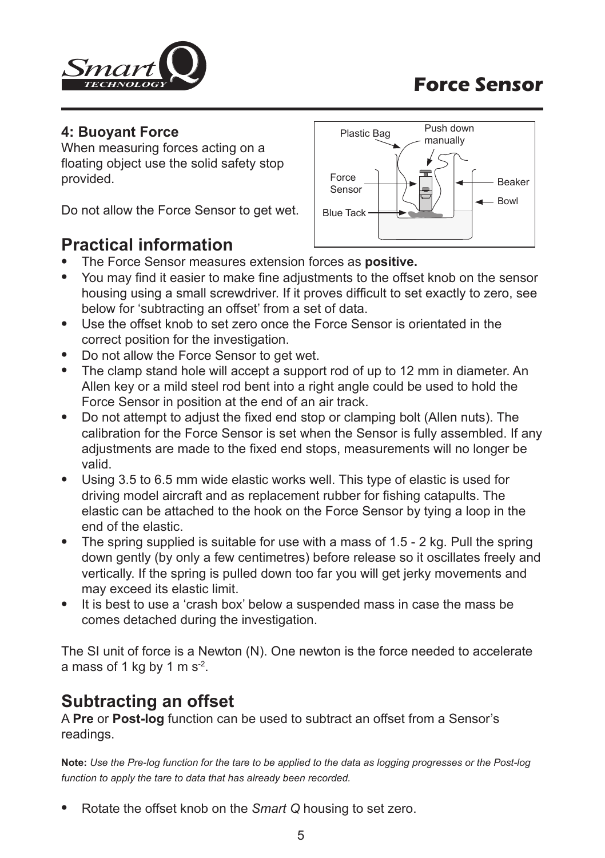

#### **4: Buoyant Force**

When measuring forces acting on a floating object use the solid safety stop provided.

Do not allow the Force Sensor to get wet.



## **Practical information**

- The Force Sensor measures extension forces as **positive.**
- You may find it easier to make fine adjustments to the offset knob on the sensor housing using a small screwdriver. If it proves difficult to set exactly to zero, see below for 'subtracting an offset' from a set of data.
- Use the offset knob to set zero once the Force Sensor is orientated in the correct position for the investigation.
- Do not allow the Force Sensor to get wet.
- The clamp stand hole will accept a support rod of up to 12 mm in diameter. An Allen key or a mild steel rod bent into a right angle could be used to hold the Force Sensor in position at the end of an air track.
- Do not attempt to adjust the fixed end stop or clamping bolt (Allen nuts). The calibration for the Force Sensor is set when the Sensor is fully assembled. If any adjustments are made to the fixed end stops, measurements will no longer be valid.
- Using 3.5 to 6.5 mm wide elastic works well. This type of elastic is used for driving model aircraft and as replacement rubber for fishing catapults. The elastic can be attached to the hook on the Force Sensor by tying a loop in the end of the elastic.
- The spring supplied is suitable for use with a mass of 1.5 2 kg. Pull the spring down gently (by only a few centimetres) before release so it oscillates freely and vertically. If the spring is pulled down too far you will get jerky movements and may exceed its elastic limit.
- It is best to use a 'crash box' below a suspended mass in case the mass be comes detached during the investigation.

The SI unit of force is a Newton (N). One newton is the force needed to accelerate a mass of 1 kg by 1 m  $s^2$ .

## **Subtracting an offset**

A **Pre** or **Post-log** function can be used to subtract an offset from a Sensor's readings.

**Note:** *Use the Pre-log function for the tare to be applied to the data as logging progresses or the Post-log function to apply the tare to data that has already been recorded.*

• Rotate the offset knob on the *Smart Q* housing to set zero.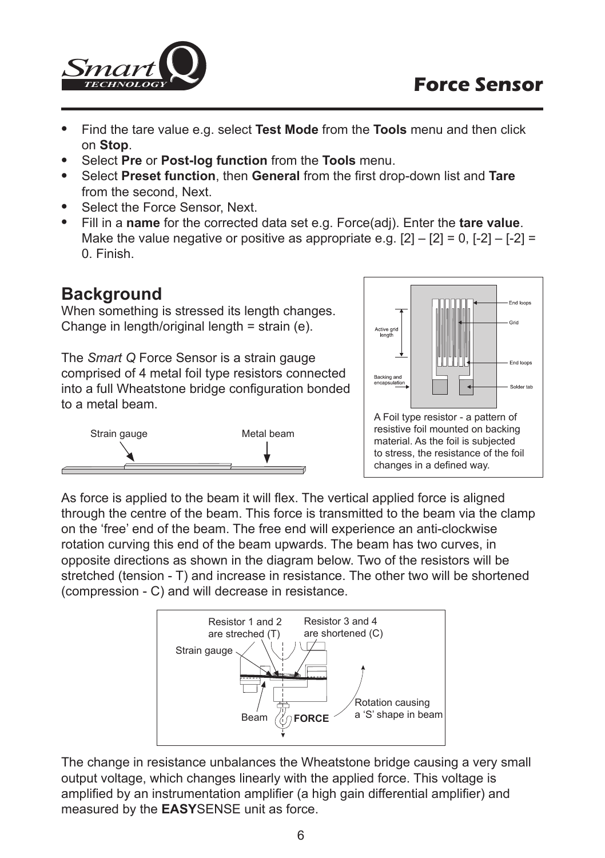

- Find the tare value e.g. select **Test Mode** from the **Tools** menu and then click on **Stop**.
- Select **Pre** or **Post-log function** from the **Tools** menu.
- Select **Preset function**, then **General** from the first drop-down list and **Tare** from the second, Next.
- Select the Force Sensor, Next.
- Fill in a **name** for the corrected data set e.g. Force(adj). Enter the **tare value**. Make the value negative or positive as appropriate e.g.  $[2] - [2] = 0$ ,  $[-2] - [-2] =$ 0. Finish.

## **Background**

When something is stressed its length changes. Change in length/original length = strain (e).

The *Smart Q* Force Sensor is a strain gauge comprised of 4 metal foil type resistors connected into a full Wheatstone bridge configuration bonded to a metal beam.





As force is applied to the beam it will flex. The vertical applied force is aligned through the centre of the beam. This force is transmitted to the beam via the clamp on the 'free' end of the beam. The free end will experience an anti-clockwise rotation curving this end of the beam upwards. The beam has two curves, in opposite directions as shown in the diagram below. Two of the resistors will be stretched (tension - T) and increase in resistance. The other two will be shortened (compression - C) and will decrease in resistance.



The change in resistance unbalances the Wheatstone bridge causing a very small output voltage, which changes linearly with the applied force. This voltage is amplified by an instrumentation amplifier (a high gain differential amplifier) and measured by the **EASY**SENSE unit as force.